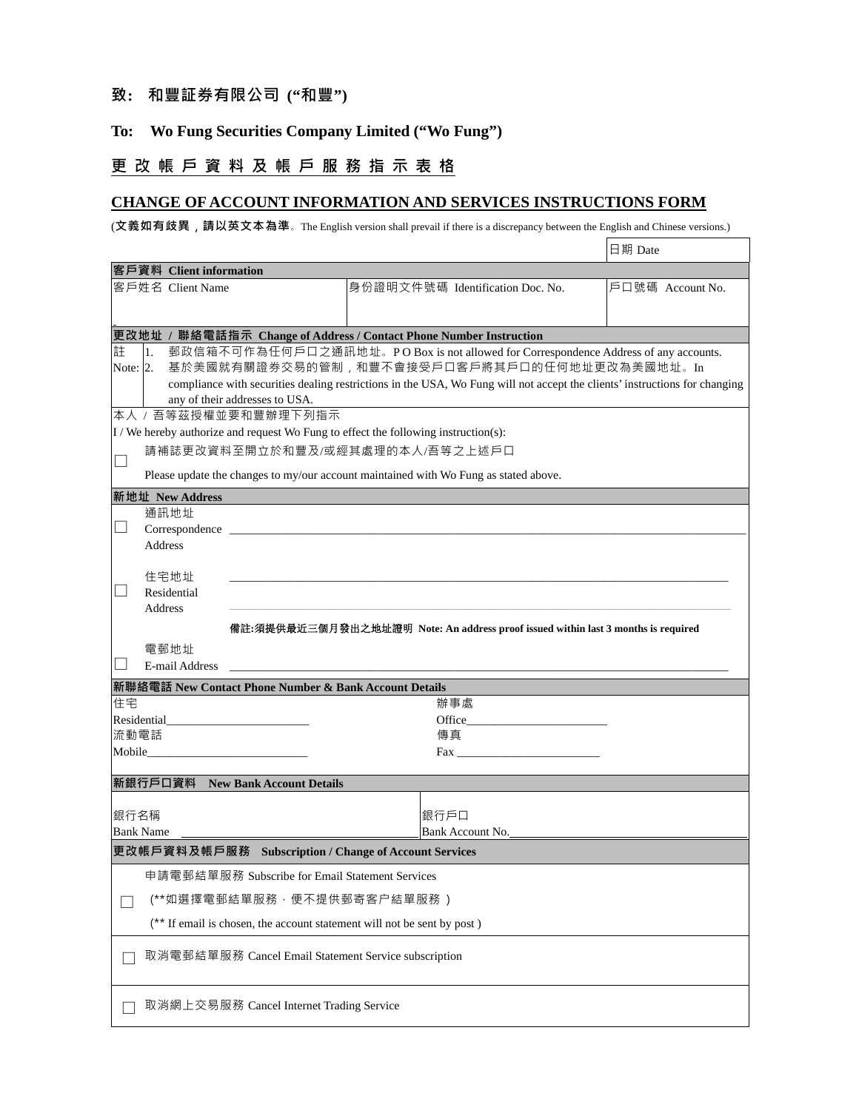## **致: 和豐証券有限公司 ("和豐")**

## **To: Wo Fung Securities Company Limited ("Wo Fung")**

# **更 改 帳 戶 資 料 及 帳 戶 服 務 指 示 表 格**

### **CHANGE OF ACCOUNT INFORMATION AND SERVICES INSTRUCTIONS FORM**

(**文義如有歧異**,**請以英文本為準**。The English version shall prevail if there is a discrepancy between the English and Chinese versions.)

٦

|                                                                                                |                                                                                                                                                                                                                                | 日期 Date          |  |  |  |  |  |  |  |  |
|------------------------------------------------------------------------------------------------|--------------------------------------------------------------------------------------------------------------------------------------------------------------------------------------------------------------------------------|------------------|--|--|--|--|--|--|--|--|
| 客戶資料 Client information                                                                        |                                                                                                                                                                                                                                |                  |  |  |  |  |  |  |  |  |
| 客戶姓名 Client Name                                                                               | 身份證明文件號碼 Identification Doc. No.                                                                                                                                                                                               | 戶口號碼 Account No. |  |  |  |  |  |  |  |  |
|                                                                                                |                                                                                                                                                                                                                                |                  |  |  |  |  |  |  |  |  |
|                                                                                                |                                                                                                                                                                                                                                |                  |  |  |  |  |  |  |  |  |
| 更改地址 / 聯絡電話指示 Change of Address / Contact Phone Number Instruction                             |                                                                                                                                                                                                                                |                  |  |  |  |  |  |  |  |  |
| 郵政信箱不可作為任何戶口之通訊地址。PO Box is not allowed for Correspondence Address of any accounts.<br>註<br>1. |                                                                                                                                                                                                                                |                  |  |  |  |  |  |  |  |  |
| 基於美國就有關證券交易的管制,和豐不會接受戶口客戶將其戶口的任何地址更改為美國地址。In<br>Note: $2$ .                                    |                                                                                                                                                                                                                                |                  |  |  |  |  |  |  |  |  |
| any of their addresses to USA.                                                                 | compliance with securities dealing restrictions in the USA, Wo Fung will not accept the clients' instructions for changing                                                                                                     |                  |  |  |  |  |  |  |  |  |
| 本人 / 吾等茲授權並要和豐辦理下列指示                                                                           |                                                                                                                                                                                                                                |                  |  |  |  |  |  |  |  |  |
| I / We hereby authorize and request Wo Fung to effect the following instruction(s):            |                                                                                                                                                                                                                                |                  |  |  |  |  |  |  |  |  |
| 請補誌更改資料至開立於和豐及/或經其處理的本人/吾等之上述戶口                                                                |                                                                                                                                                                                                                                |                  |  |  |  |  |  |  |  |  |
| $\Box$                                                                                         |                                                                                                                                                                                                                                |                  |  |  |  |  |  |  |  |  |
| Please update the changes to my/our account maintained with Wo Fung as stated above.           |                                                                                                                                                                                                                                |                  |  |  |  |  |  |  |  |  |
| 新地址 New Address<br>通訊地址                                                                        |                                                                                                                                                                                                                                |                  |  |  |  |  |  |  |  |  |
| $\blacksquare$                                                                                 |                                                                                                                                                                                                                                |                  |  |  |  |  |  |  |  |  |
| <b>Address</b>                                                                                 |                                                                                                                                                                                                                                |                  |  |  |  |  |  |  |  |  |
|                                                                                                |                                                                                                                                                                                                                                |                  |  |  |  |  |  |  |  |  |
| 住宅地址                                                                                           |                                                                                                                                                                                                                                |                  |  |  |  |  |  |  |  |  |
| Residential                                                                                    |                                                                                                                                                                                                                                |                  |  |  |  |  |  |  |  |  |
| Address                                                                                        |                                                                                                                                                                                                                                |                  |  |  |  |  |  |  |  |  |
|                                                                                                | 備註:須提供最近三個月發出之地址證明 Note: An address proof issued within last 3 months is required                                                                                                                                              |                  |  |  |  |  |  |  |  |  |
| 電郵地址                                                                                           |                                                                                                                                                                                                                                |                  |  |  |  |  |  |  |  |  |
| $\mathbf{I}$<br>E-mail Address                                                                 |                                                                                                                                                                                                                                |                  |  |  |  |  |  |  |  |  |
| 新聯絡電話 New Contact Phone Number & Bank Account Details                                          |                                                                                                                                                                                                                                |                  |  |  |  |  |  |  |  |  |
| 住宅                                                                                             | 辦事處                                                                                                                                                                                                                            |                  |  |  |  |  |  |  |  |  |
| Residential<br>流動電話                                                                            | Office the contract of the contract of the contract of the contract of the contract of the contract of the contract of the contract of the contract of the contract of the contract of the contract of the contract of the con |                  |  |  |  |  |  |  |  |  |
|                                                                                                | 傳真<br>$\text{Fax}$                                                                                                                                                                                                             |                  |  |  |  |  |  |  |  |  |
|                                                                                                |                                                                                                                                                                                                                                |                  |  |  |  |  |  |  |  |  |
| 新銀行戶口資料 New Bank Account Details                                                               |                                                                                                                                                                                                                                |                  |  |  |  |  |  |  |  |  |
|                                                                                                |                                                                                                                                                                                                                                |                  |  |  |  |  |  |  |  |  |
| 銀行名稱                                                                                           | 銀行戶口                                                                                                                                                                                                                           |                  |  |  |  |  |  |  |  |  |
| <b>Bank Name</b>                                                                               | Bank Account No.                                                                                                                                                                                                               |                  |  |  |  |  |  |  |  |  |
| 更改帳戶資料及帳戶服務 Subscription / Change of Account Services                                          |                                                                                                                                                                                                                                |                  |  |  |  |  |  |  |  |  |
| 申請電郵結單服務 Subscribe for Email Statement Services                                                |                                                                                                                                                                                                                                |                  |  |  |  |  |  |  |  |  |
| (**如選擇電郵結單服務,便不提供郵寄客户結單服務)                                                                     |                                                                                                                                                                                                                                |                  |  |  |  |  |  |  |  |  |
| (** If email is chosen, the account statement will not be sent by post)                        |                                                                                                                                                                                                                                |                  |  |  |  |  |  |  |  |  |
| 取消電郵結單服務 Cancel Email Statement Service subscription                                           |                                                                                                                                                                                                                                |                  |  |  |  |  |  |  |  |  |
|                                                                                                |                                                                                                                                                                                                                                |                  |  |  |  |  |  |  |  |  |
| 取消網上交易服務 Cancel Internet Trading Service                                                       |                                                                                                                                                                                                                                |                  |  |  |  |  |  |  |  |  |
|                                                                                                |                                                                                                                                                                                                                                |                  |  |  |  |  |  |  |  |  |